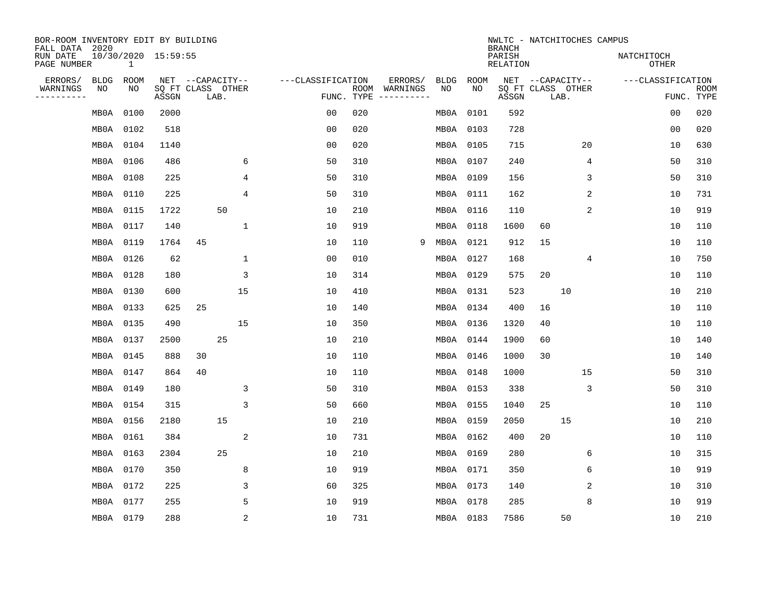| BOR-ROOM INVENTORY EDIT BY BUILDING                                              |           |      |       |                   |      |                           |                   |                    |                        |             |             | NWLTC - NATCHITOCHES CAMPUS<br><b>BRANCH</b> |                  |                            |    |                   |            |             |
|----------------------------------------------------------------------------------|-----------|------|-------|-------------------|------|---------------------------|-------------------|--------------------|------------------------|-------------|-------------|----------------------------------------------|------------------|----------------------------|----|-------------------|------------|-------------|
| FALL DATA 2020<br>10/30/2020 15:59:55<br>RUN DATE<br>PAGE NUMBER<br>$\mathbf{1}$ |           |      |       |                   |      | PARISH<br><b>RELATION</b> |                   |                    |                        |             |             |                                              |                  | NATCHITOCH<br><b>OTHER</b> |    |                   |            |             |
| ERRORS/                                                                          | BLDG      | ROOM |       | NET --CAPACITY--  |      |                           | ---CLASSIFICATION |                    | ERRORS/                | <b>BLDG</b> | <b>ROOM</b> |                                              | NET --CAPACITY-- |                            |    | ---CLASSIFICATION |            |             |
| WARNINGS<br>----------                                                           | NO        | NO   | ASSGN | SQ FT CLASS OTHER | LAB. |                           |                   | ROOM<br>FUNC. TYPE | WARNINGS<br>---------- | NO          | NO          | SQ FT CLASS OTHER<br>ASSGN                   |                  | LAB.                       |    |                   | FUNC. TYPE | <b>ROOM</b> |
|                                                                                  | MB0A      | 0100 | 2000  |                   |      |                           | 0 <sub>0</sub>    | 020                |                        | MB0A        | 0101        | 592                                          |                  |                            |    |                   | 00         | 020         |
|                                                                                  | MBOA      | 0102 | 518   |                   |      |                           | 0 <sub>0</sub>    | 020                |                        | MB0A        | 0103        | 728                                          |                  |                            |    |                   | 00         | 020         |
|                                                                                  | MBOA      | 0104 | 1140  |                   |      |                           | 0 <sub>0</sub>    | 020                |                        | MB0A        | 0105        | 715                                          |                  |                            | 20 |                   | 10         | 630         |
|                                                                                  | MB0A      | 0106 | 486   |                   |      | 6                         | 50                | 310                |                        | MB0A        | 0107        | 240                                          |                  |                            | 4  |                   | 50         | 310         |
|                                                                                  | MB0A 0108 |      | 225   |                   |      | 4                         | 50                | 310                |                        | MB0A        | 0109        | 156                                          |                  |                            | 3  |                   | 50         | 310         |
|                                                                                  | MB0A 0110 |      | 225   |                   |      | 4                         | 50                | 310                |                        |             | MB0A 0111   | 162                                          |                  |                            | 2  |                   | 10         | 731         |
|                                                                                  | MB0A 0115 |      | 1722  |                   | 50   |                           | 10                | 210                |                        | MBOA        | 0116        | 110                                          |                  |                            | 2  |                   | 10         | 919         |
|                                                                                  | MB0A 0117 |      | 140   |                   |      | $\mathbf{1}$              | 10                | 919                |                        | MB0A        | 0118        | 1600                                         | 60               |                            |    |                   | 10         | 110         |
|                                                                                  | MB0A      | 0119 | 1764  | 45                |      |                           | 10                | 110                | 9                      | MB0A        | 0121        | 912                                          | 15               |                            |    |                   | 10         | 110         |
|                                                                                  | MB0A 0126 |      | 62    |                   |      | $\mathbf 1$               | 0 <sub>0</sub>    | 010                |                        | MB0A        | 0127        | 168                                          |                  |                            | 4  |                   | 10         | 750         |
|                                                                                  | MB0A 0128 |      | 180   |                   |      | 3                         | 10                | 314                |                        | MB0A        | 0129        | 575                                          | 20               |                            |    |                   | 10         | 110         |
|                                                                                  | MB0A 0130 |      | 600   |                   |      | 15                        | 10                | 410                |                        | MB0A        | 0131        | 523                                          |                  | 10                         |    |                   | 10         | 210         |
|                                                                                  | MB0A 0133 |      | 625   | 25                |      |                           | 10                | 140                |                        | MBOA        | 0134        | 400                                          | 16               |                            |    |                   | 10         | 110         |
|                                                                                  | MB0A 0135 |      | 490   |                   |      | 15                        | 10                | 350                |                        | MB0A        | 0136        | 1320                                         | 40               |                            |    |                   | 10         | 110         |
|                                                                                  | MBOA      | 0137 | 2500  |                   | 25   |                           | 10                | 210                |                        | MB0A        | 0144        | 1900                                         | 60               |                            |    |                   | 10         | 140         |
|                                                                                  | MB0A 0145 |      | 888   | 30                |      |                           | 10                | 110                |                        | MBOA        | 0146        | 1000                                         | 30               |                            |    |                   | 10         | 140         |
|                                                                                  | MB0A      | 0147 | 864   | 40                |      |                           | 10                | 110                |                        | MB0A        | 0148        | 1000                                         |                  |                            | 15 |                   | 50         | 310         |
|                                                                                  | MB0A      | 0149 | 180   |                   |      | 3                         | 50                | 310                |                        | MB0A        | 0153        | 338                                          |                  |                            | 3  |                   | 50         | 310         |
|                                                                                  | MB0A      | 0154 | 315   |                   |      | 3                         | 50                | 660                |                        | MB0A        | 0155        | 1040                                         | 25               |                            |    |                   | 10         | 110         |
|                                                                                  | MBOA      | 0156 | 2180  |                   | 15   |                           | 10                | 210                |                        | MBOA        | 0159        | 2050                                         |                  | 15                         |    |                   | 10         | 210         |
|                                                                                  | MBOA      | 0161 | 384   |                   |      | 2                         | 10                | 731                |                        | MB0A        | 0162        | 400                                          | 20               |                            |    |                   | 10         | 110         |
|                                                                                  | MB0A      | 0163 | 2304  |                   | 25   |                           | 10                | 210                |                        | MB0A        | 0169        | 280                                          |                  |                            | 6  |                   | 10         | 315         |
|                                                                                  | MB0A      | 0170 | 350   |                   |      | 8                         | 10                | 919                |                        | MB0A        | 0171        | 350                                          |                  |                            | 6  |                   | 10         | 919         |
|                                                                                  | MB0A      | 0172 | 225   |                   |      | 3                         | 60                | 325                |                        | MB0A        | 0173        | 140                                          |                  |                            | 2  |                   | 10         | 310         |
|                                                                                  | MB0A      | 0177 | 255   |                   |      | 5                         | 10                | 919                |                        | MB0A        | 0178        | 285                                          |                  |                            | 8  |                   | 10         | 919         |
|                                                                                  | MB0A 0179 |      | 288   |                   |      | $\sqrt{2}$                | 10                | 731                |                        |             | MB0A 0183   | 7586                                         |                  | 50                         |    |                   | 10         | 210         |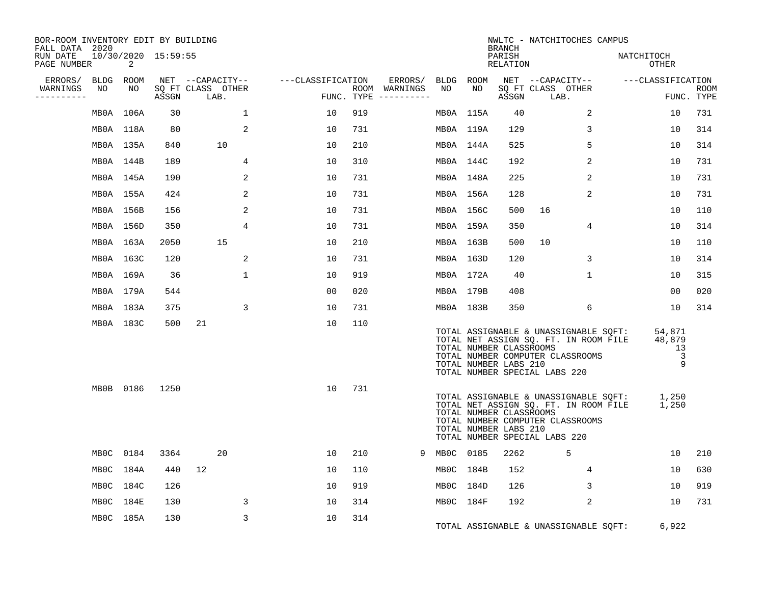| BOR-ROOM INVENTORY EDIT BY BUILDING<br>FALL DATA 2020 |           |           |                     |                           |              |                   |     |                                      |             |           | BRANCH                                           | NWLTC - NATCHITOCHES CAMPUS                                                                                                                               |                                                         |                           |
|-------------------------------------------------------|-----------|-----------|---------------------|---------------------------|--------------|-------------------|-----|--------------------------------------|-------------|-----------|--------------------------------------------------|-----------------------------------------------------------------------------------------------------------------------------------------------------------|---------------------------------------------------------|---------------------------|
| RUN DATE<br>PAGE NUMBER                               |           | 2         | 10/30/2020 15:59:55 |                           |              |                   |     |                                      |             |           | PARISH<br>RELATION                               |                                                                                                                                                           | NATCHITOCH<br>OTHER                                     |                           |
| ERRORS/                                               | BLDG ROOM |           |                     | NET --CAPACITY--          |              | ---CLASSIFICATION |     | ERRORS/ BLDG ROOM                    |             |           |                                                  | NET --CAPACITY-- ---CLASSIFICATION                                                                                                                        |                                                         |                           |
| WARNINGS<br>---------                                 | NO        | NO        | ASSGN               | SQ FT CLASS OTHER<br>LAB. |              |                   |     | ROOM WARNINGS<br>FUNC. TYPE $------$ | NO          | NO        | ASSGN                                            | SQ FT CLASS OTHER<br>LAB.                                                                                                                                 |                                                         | <b>ROOM</b><br>FUNC. TYPE |
|                                                       |           | MB0A 106A | 30                  |                           | $\mathbf{1}$ | 10                | 919 |                                      |             | MB0A 115A | 40                                               | 2                                                                                                                                                         | 10                                                      | 731                       |
|                                                       | MB0A 118A |           | 80                  |                           | 2            | 10                | 731 |                                      | MB0A 119A   |           | 129                                              | 3                                                                                                                                                         | 10                                                      | 314                       |
|                                                       | MB0A 135A |           | 840                 | 10                        |              | 10                | 210 |                                      | MBOA 144A   |           | 525                                              | 5                                                                                                                                                         | 10                                                      | 314                       |
|                                                       | MBOA 144B |           | 189                 |                           | 4            | 10                | 310 |                                      | MB0A 144C   |           | 192                                              | 2                                                                                                                                                         | 10                                                      | 731                       |
|                                                       | MBOA 145A |           | 190                 |                           | 2            | 10                | 731 |                                      | MBOA 148A   |           | 225                                              | 2                                                                                                                                                         | 10                                                      | 731                       |
|                                                       | MB0A 155A |           | 424                 |                           | 2            | 10                | 731 |                                      | MB0A 156A   |           | 128                                              | $\overline{2}$                                                                                                                                            | 10                                                      | 731                       |
|                                                       | MB0A 156B |           | 156                 |                           | 2            | 10                | 731 |                                      | MB0A 156C   |           | 500                                              | 16                                                                                                                                                        | 10                                                      | 110                       |
|                                                       | MB0A 156D |           | 350                 |                           | 4            | 10                | 731 |                                      | MB0A 159A   |           | 350                                              | $\overline{4}$                                                                                                                                            | 10                                                      | 314                       |
|                                                       | MB0A 163A |           | 2050                | 15                        |              | 10                | 210 |                                      | MB0A 163B   |           | 500                                              | 10                                                                                                                                                        | 10                                                      | 110                       |
|                                                       | MB0A 163C |           | 120                 |                           | 2            | 10                | 731 |                                      | MB0A 163D   |           | 120                                              | 3                                                                                                                                                         | 10                                                      | 314                       |
|                                                       | MB0A 169A |           | 36                  |                           | $\mathbf 1$  | 10                | 919 |                                      | MB0A 172A   |           | - 40                                             | $\mathbf 1$                                                                                                                                               | 10                                                      | 315                       |
|                                                       | MB0A 179A |           | 544                 |                           |              | 00                | 020 |                                      | MB0A 179B   |           | 408                                              |                                                                                                                                                           | 00                                                      | 020                       |
|                                                       | MB0A 183A |           | 375                 |                           | 3            | 10                | 731 |                                      | MBOA 183B   |           | 350                                              | 6                                                                                                                                                         | 10                                                      | 314                       |
|                                                       | MB0A 183C |           | 500                 | 21                        |              | 10                | 110 |                                      |             |           | TOTAL NUMBER CLASSROOMS<br>TOTAL NUMBER LABS 210 | TOTAL ASSIGNABLE & UNASSIGNABLE SQFT:<br>TOTAL NET ASSIGN SQ. FT. IN ROOM FILE<br>TOTAL NUMBER COMPUTER CLASSROOMS<br>TOTAL NUMBER SPECIAL LABS 220       | 54,871<br>48,879<br>13<br>$\overline{\phantom{a}}$<br>9 |                           |
|                                                       |           | MB0B 0186 | 1250                |                           |              | 10                | 731 |                                      |             |           | TOTAL NUMBER CLASSROOMS<br>TOTAL NUMBER LABS 210 | TOTAL ASSIGNABLE & UNASSIGNABLE SQFT: 1,250<br>TOTAL NET ASSIGN SQ. FT. IN ROOM FILE<br>TOTAL NUMBER COMPUTER CLASSROOMS<br>TOTAL NUMBER SPECIAL LABS 220 | 1,250                                                   |                           |
|                                                       | MB0C 0184 |           | 3364                | 20                        |              | 10                | 210 |                                      | 9 MB0C 0185 |           | 2262                                             | 5                                                                                                                                                         | 10                                                      | 210                       |
|                                                       | MBOC 184A |           | 440                 | 12                        |              | 10                | 110 |                                      | MBOC 184B   |           | 152                                              | $\overline{4}$                                                                                                                                            | 10                                                      | 630                       |
|                                                       | MBOC 184C |           | 126                 |                           |              | 10                | 919 |                                      | MBOC 184D   |           | 126                                              | 3                                                                                                                                                         | 10                                                      | 919                       |
|                                                       | MBOC 184E |           | 130                 |                           | 3            | 10                | 314 |                                      | MBOC 184F   |           | 192                                              | 2                                                                                                                                                         | 10                                                      | 731                       |
|                                                       |           | MB0C 185A | 130                 |                           | 3            | 10                | 314 |                                      |             |           |                                                  | TOTAL ASSIGNABLE & UNASSIGNABLE SQFT:                                                                                                                     | 6,922                                                   |                           |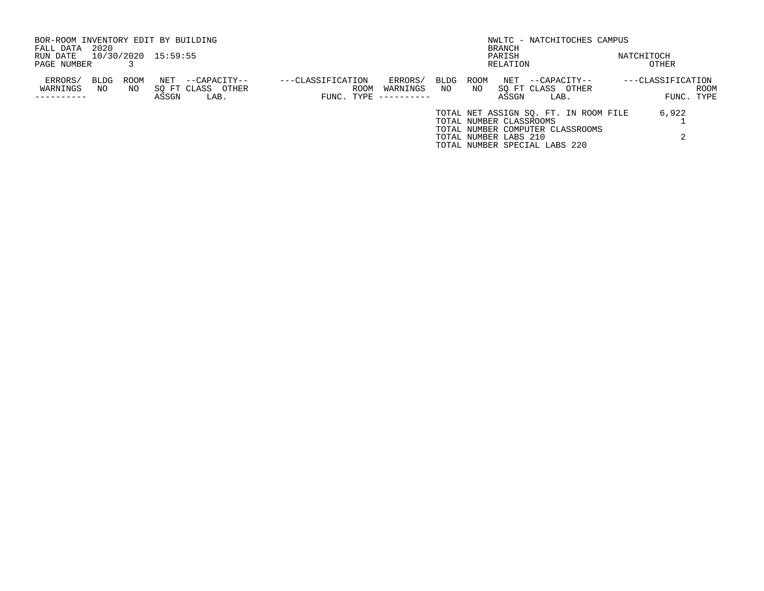| BOR-ROOM INVENTORY EDIT BY BUILDING       |            |             |              |                                           |                                 |      |                                    |             |             |                         |                                           | NWLTC - NATCHITOCHES CAMPUS           |                   |                    |
|-------------------------------------------|------------|-------------|--------------|-------------------------------------------|---------------------------------|------|------------------------------------|-------------|-------------|-------------------------|-------------------------------------------|---------------------------------------|-------------------|--------------------|
| FALL DATA                                 | 2020       |             |              |                                           |                                 |      |                                    |             |             | BRANCH                  |                                           |                                       |                   |                    |
| 10/30/2020 15:59:55<br>RUN DATE<br>PARISH |            |             |              |                                           |                                 |      |                                    |             |             |                         |                                           | NATCHITOCH                            |                   |                    |
| PAGE NUMBER                               |            |             |              |                                           |                                 |      |                                    |             |             | RELATION                |                                           |                                       | OTHER             |                    |
| ERRORS/<br>WARNINGS                       | BLDG<br>NO | ROOM<br>NO. | NET<br>ASSGN | --CAPACITY--<br>SO FT CLASS OTHER<br>LAB. | ---CLASSIFICATION<br>FUNC. TYPE | ROOM | ERRORS/<br>WARNINGS<br>----------- | BLDG<br>NO. | ROOM<br>NO. | NET<br>ASSGN            | --CAPACITY--<br>SO FT CLASS OTHER<br>LAB. |                                       | ---CLASSIFICATION | ROOM<br>FUNC. TYPE |
|                                           |            |             |              |                                           |                                 |      |                                    |             |             |                         |                                           | TOTAL NET ASSIGN SO. FT. IN ROOM FILE | 6,922             |                    |
|                                           |            |             |              |                                           |                                 |      |                                    |             |             | TOTAL NUMBER CLASSROOMS |                                           |                                       |                   |                    |
|                                           |            |             |              |                                           |                                 |      |                                    |             |             | TOTAL NUMBER LABS 210   | TOTAL NUMBER SPECIAL LABS 220             | TOTAL NUMBER COMPUTER CLASSROOMS      |                   |                    |